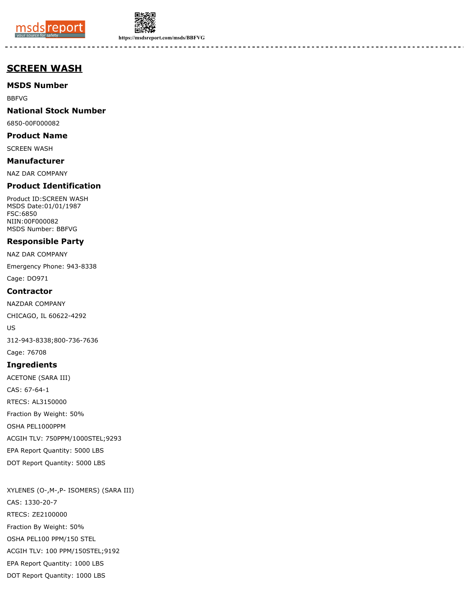



**https://msdsreport.com/msds/BBFVG**

# **SCREEN WASH**

# **MSDS Number**

BBFVG

# **National Stock Number**

6850-00F000082

# **Product Name**

SCREEN WASH

# **Manufacturer**

NAZ DAR COMPANY

# **Product Identification**

Product ID:SCREEN WASH MSDS Date:01/01/1987 FSC:6850 NIIN:00F000082 MSDS Number: BBFVG

### **Responsible Party**

NAZ DAR COMPANY

Emergency Phone: 943-8338

Cage: DO971

### **Contractor**

NAZDAR COMPANY

CHICAGO, IL 60622-4292

US

312-943-8338;800-736-7636

Cage: 76708

#### **Ingredients**

ACETONE (SARA III) CAS: 67-64-1 RTECS: AL3150000 Fraction By Weight: 50% OSHA PEL1000PPM ACGIH TLV: 750PPM/1000STEL;9293 EPA Report Quantity: 5000 LBS

DOT Report Quantity: 5000 LBS

DOT Report Quantity: 1000 LBS

XYLENES (O-,M-,P- ISOMERS) (SARA III) CAS: 1330-20-7 RTECS: ZE2100000 Fraction By Weight: 50% OSHA PEL100 PPM/150 STEL ACGIH TLV: 100 PPM/150STEL;9192 EPA Report Quantity: 1000 LBS